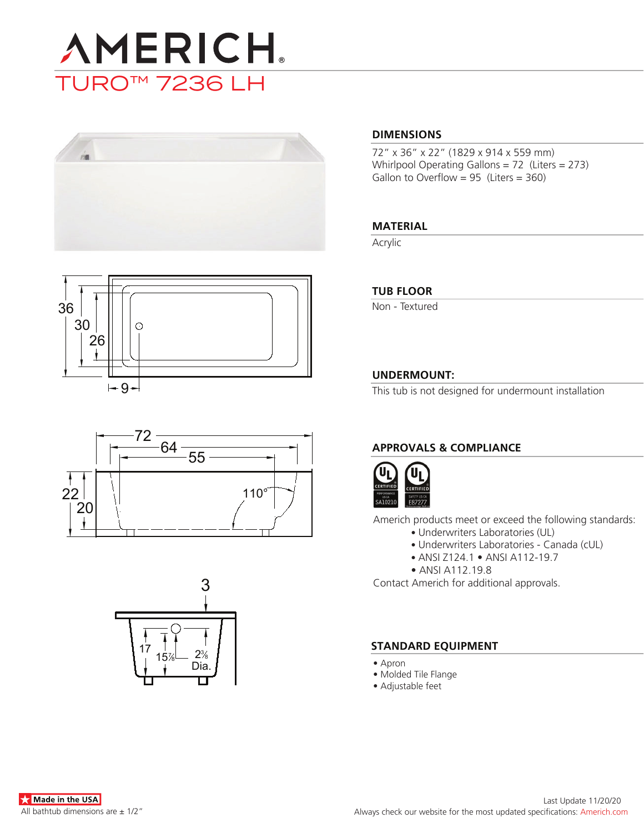









### **DIMENSIONS**

72" x 36" x 22" (1829 x 914 x 559 mm) Whirlpool Operating Gallons = 72 (Liters = 273) Gallon to Overflow =  $95$  (Liters =  $360$ )

### **MATERIAL**

Acrylic

### **TUB FLOOR**

Non - Textured

## **UNDERMOUNT:**

This tub is not designed for undermount installation

# **APPROVALS & COMPLIANCE**



Americh products meet or exceed the following standards:

- Underwriters Laboratories (UL)
	- Underwriters Laboratories Canada (cUL)
	- ANSI Z124.1 ANSI A112-19.7
- ANSI A112.19.8

Contact Americh for additional approvals.

### **STANDARD EQUIPMENT**

- Apron
- Molded Tile Flange
- Adjustable feet